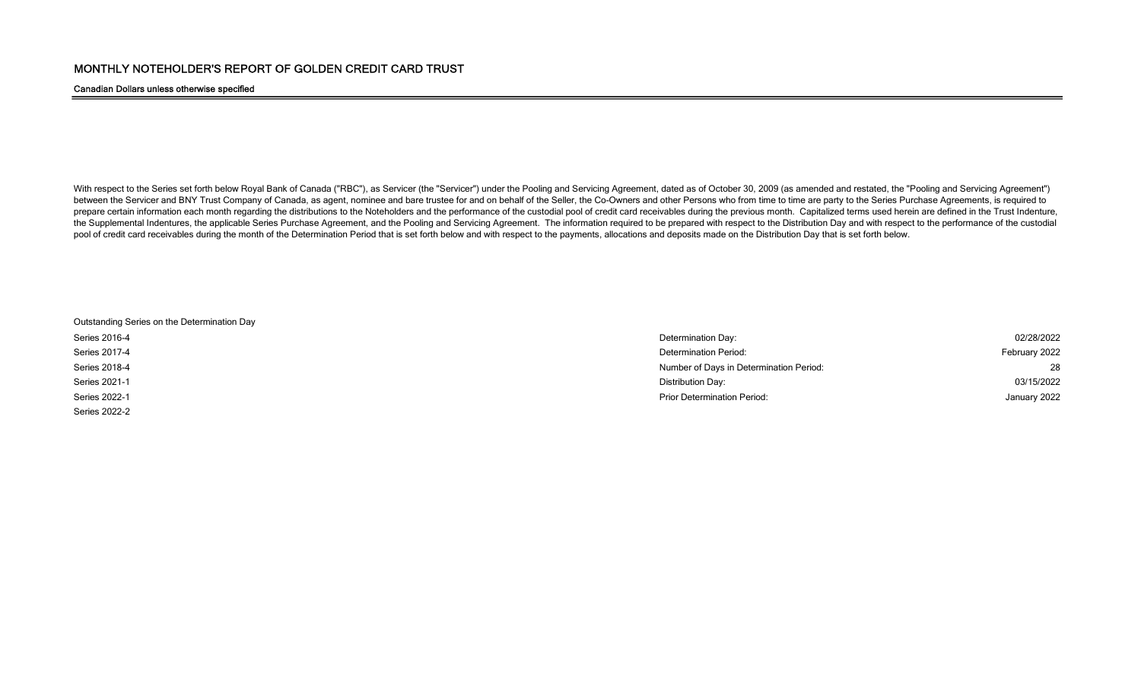## Canadian Dollars unless otherwise specified

With respect to the Series set forth below Royal Bank of Canada ("RBC"), as Servicer (the "Servicer") under the Pooling and Servicing Agreement, dated as of October 30, 2009 (as amended and restated, the "Pooling and Servi between the Servicer and BNY Trust Company of Canada, as agent, nominee and bare trustee for and on behalf of the Seller, the Co-Owners and other Persons who from time to time are party to the Series Purchase Agreements, i prepare certain information each month regarding the distributions to the Noteholders and the performance of the custodial pool of credit card receivables during the previous month. Capitalized terms used herein are define the Supplemental Indentures, the applicable Series Purchase Agreement, and the Pooling and Servicing Agreement. The information required to be prepared with respect to the Distribution Day and with respect to the performan pool of credit card receivables during the month of the Determination Period that is set forth below and with respect to the payments, allocations and deposits made on the Distribution Day that is set forth below.

| Outstanding Series on the Determination Day |  |
|---------------------------------------------|--|
| Series 2016-4                               |  |
| Series 2017-4                               |  |
| Series 2018-4                               |  |
| Series 2021-1                               |  |
| Series 2022-1                               |  |
| Series 2022-2                               |  |

| Series 2016-4 | Determination Day:                      | 02/28/2022    |
|---------------|-----------------------------------------|---------------|
| Series 2017-4 | Determination Period:                   | February 2022 |
| Series 2018-4 | Number of Days in Determination Period: | 28            |
| Series 2021-1 | Distribution Day:                       | 03/15/2022    |
| Series 2022-1 | <b>Prior Determination Period:</b>      | January 2022  |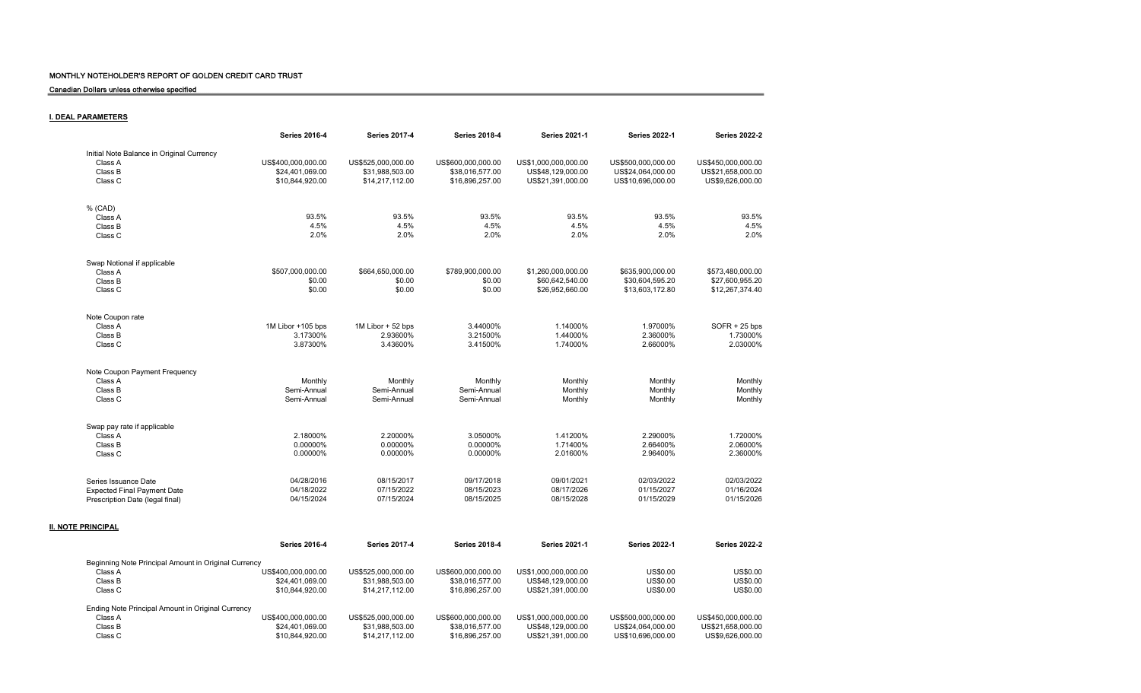Canadian Dollars unless otherwise specified

I. DEAL PARAMETERS

|                                           | <b>Series 2016-4</b>   | <b>Series 2017-4</b>   | <b>Series 2018-4</b>   | <b>Series 2021-1</b> | <b>Series 2022-1</b> | <b>Series 2022-2</b> |
|-------------------------------------------|------------------------|------------------------|------------------------|----------------------|----------------------|----------------------|
| Initial Note Balance in Original Currency |                        |                        |                        |                      |                      |                      |
| Class A                                   | US\$400,000,000.00     | US\$525,000,000.00     | US\$600,000,000.00     | US\$1,000,000,000.00 | US\$500,000,000.00   | US\$450,000,000.00   |
| Class B                                   | \$24,401,069.00        | \$31,988,503.00        | \$38,016,577.00        | US\$48,129,000.00    | US\$24,064,000.00    | US\$21,658,000.00    |
| Class C                                   | \$10,844,920.00        | \$14,217,112.00        | \$16,896,257.00        | US\$21,391,000.00    | US\$10,696,000.00    | US\$9,626,000.00     |
|                                           |                        |                        |                        |                      |                      |                      |
| % (CAD)                                   |                        |                        |                        |                      |                      |                      |
| Class A                                   | 93.5%                  | 93.5%                  | 93.5%                  | 93.5%                | 93.5%                |                      |
| Class B                                   | 4.5%                   | 4.5%                   | 4.5%                   | 4.5%                 | 4.5%                 |                      |
| Class C                                   | 2.0%                   | 2.0%                   | 2.0%                   | 2.0%                 | 2.0%                 |                      |
| Swap Notional if applicable               |                        |                        |                        |                      |                      |                      |
| Class A                                   | \$507,000,000.00       | \$664,650,000.00       | \$789,900,000.00       | \$1,260,000,000.00   | \$635,900,000.00     | \$573,480,000.00     |
| Class B                                   | \$0.00                 | \$0.00                 | \$0.00                 | \$60.642.540.00      | \$30,604,595.20      | \$27,600,955.20      |
| Class C                                   | \$0.00                 | \$0.00                 | \$0.00                 | \$26,952,660.00      | \$13,603,172.80      | \$12,267,374.40      |
|                                           |                        |                        |                        |                      |                      |                      |
| Note Coupon rate                          |                        |                        |                        |                      |                      |                      |
| Class A                                   | 1M Libor +105 bps      | 1M Libor + 52 bps      | 3.44000%               | 1.14000%             | 1.97000%             | $SOFR + 25$ bps      |
| Class B                                   | 3.17300%               | 2.93600%               | 3.21500%               | 1.44000%             | 2.36000%             | 1.73000%             |
| Class C                                   | 3.87300%               | 3.43600%               | 3.41500%               | 1.74000%             | 2.66000%             | 2.03000%             |
| Note Coupon Payment Frequency             |                        |                        |                        |                      |                      |                      |
| Class A                                   |                        |                        |                        |                      |                      |                      |
|                                           | Monthly<br>Semi-Annual | Monthly<br>Semi-Annual | Monthly<br>Semi-Annual | Monthly              | Monthly              |                      |
| Class B                                   |                        |                        |                        | Monthly              | Monthly              |                      |
| Class C                                   | Semi-Annual            | Semi-Annual            | Semi-Annual            | Monthly              | Monthly              |                      |
| Swap pay rate if applicable               |                        |                        |                        |                      |                      |                      |
| Class A                                   | 2.18000%               | 2.20000%               | 3.05000%               | 1.41200%             | 2.29000%             | 1.72000%             |
| Class B                                   | 0.00000%               | 0.00000%               | 0.00000%               | 1.71400%             | 2.66400%             | 2.06000%             |
| Class C                                   | 0.00000%               | 0.00000%               | 0.00000%               | 2.01600%             | 2.96400%             | 2.36000%             |
|                                           |                        |                        |                        |                      |                      |                      |
| Series Issuance Date                      | 04/28/2016             | 08/15/2017             | 09/17/2018             | 09/01/2021           | 02/03/2022           | 02/03/2022           |
| <b>Expected Final Payment Date</b>        | 04/18/2022             | 07/15/2022             | 08/15/2023             | 08/17/2026           | 01/15/2027           | 01/16/2024           |
| Prescription Date (legal final)           | 04/15/2024             | 07/15/2024             | 08/15/2025             | 08/15/2028           | 01/15/2029           | 01/15/2026           |
|                                           |                        |                        |                        |                      |                      |                      |

|                                                      | <b>Series 2016-4</b> | <b>Series 2017-4</b> | <b>Series 2018-4</b> | <b>Series 2021-1</b> | <b>Series 2022-1</b> | <b>Series 2022-2</b> |
|------------------------------------------------------|----------------------|----------------------|----------------------|----------------------|----------------------|----------------------|
| Beginning Note Principal Amount in Original Currency |                      |                      |                      |                      |                      |                      |
| Class A                                              | US\$400.000.000.00   | US\$525,000,000,00   | US\$600,000,000,00   | US\$1,000,000,000,00 | US\$0.00             | US\$0.00             |
| Class B                                              | \$24.401.069.00      | \$31,988,503.00      | \$38.016.577.00      | US\$48.129,000.00    | US\$0.00             | US\$0.00             |
| Class C                                              | \$10.844.920.00      | \$14.217.112.00      | \$16,896,257.00      | US\$21.391.000.00    | US\$0.00             | US\$0.00             |
| Ending Note Principal Amount in Original Currency    |                      |                      |                      |                      |                      |                      |
| Class A                                              | US\$400,000,000.00   | US\$525,000,000,00   | US\$600,000,000,00   | US\$1,000,000,000,00 | US\$500,000,000,00   | US\$450,000,000,00   |
| Class B                                              | \$24.401.069.00      | \$31.988.503.00      | \$38.016.577.00      | US\$48.129,000.00    | US\$24.064.000.00    | US\$21,658,000.00    |
| Class C                                              | \$10.844.920.00      | \$14.217.112.00      | \$16,896,257,00      | US\$21.391.000.00    | US\$10.696.000.00    | US\$9.626,000.00     |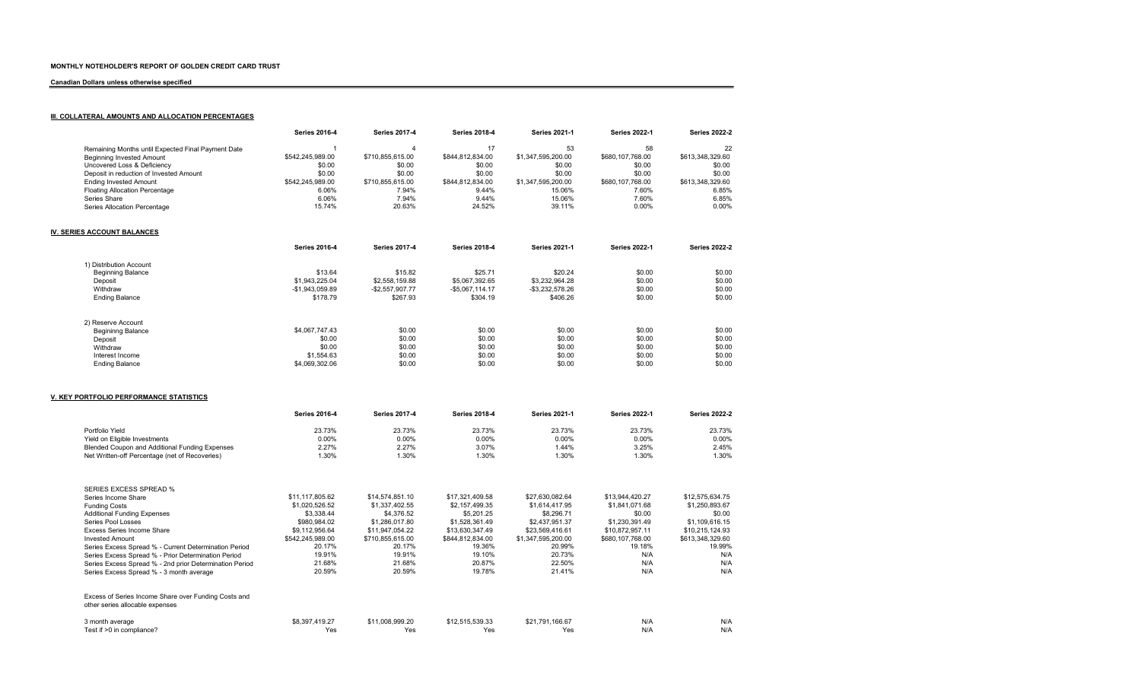### Canadian Dollars unless otherwise specified

# **III. COLLATERAL AMOUNTS AND ALLOCATION PERCENTAGES**

| 22               |
|------------------|
| \$613.348.329.60 |
| \$0.00           |
| \$0.00           |
| \$613,348,329.60 |
| 6.85%            |
| 6.85%            |
| 0.00%            |
|                  |

## IV. SERIES ACCOUNT BALANCES

|                          | <b>Series 2016-4</b> | <b>Series 2017-4</b> | <b>Series 2018-4</b> | <b>Series 2021-1</b> | <b>Series 2022-1</b> | <b>Series 2022-2</b> |
|--------------------------|----------------------|----------------------|----------------------|----------------------|----------------------|----------------------|
| 1) Distribution Account  |                      |                      |                      |                      |                      |                      |
| Beginning Balance        | \$13.64              | \$15.82              | \$25.71              | \$20.24              | \$0.00               | \$0.00               |
| Deposit                  | \$1,943,225.04       | \$2,558,159.88       | \$5.067.392.65       | \$3,232,964.28       | \$0.00               | \$0.00               |
| Withdraw                 | -\$1.943.059.89      | $-$ \$2.557.907.77   | $-$5.067.114.17$     | -\$3.232.578.26      | \$0.00               | \$0.00               |
| <b>Ending Balance</b>    | \$178.79             | \$267.93             | \$304.19             | \$406.26             | \$0.00               | \$0.00               |
| 2) Reserve Account       |                      |                      |                      |                      |                      |                      |
| <b>Begininng Balance</b> | \$4,067,747.43       | \$0.00               | \$0.00               | \$0.00               | \$0.00               | \$0.00               |
| Deposit                  | \$0.00               | \$0.00               | \$0.00               | \$0.00               | \$0.00               | \$0.00               |
| Withdraw                 | \$0.00               | \$0.00               | \$0.00               | \$0.00               | \$0.00               | \$0.00               |
| Interest Income          | \$1,554.63           | \$0.00               | \$0.00               | \$0.00               | \$0.00               | \$0.00               |
| <b>Ending Balance</b>    | \$4.069.302.06       | \$0.00               | \$0.00               | \$0.00               | \$0.00               | \$0.00               |

#### V. KEY PORTFOLIO PERFORMANCE STATISTICS

|                                                                                         | <b>Series 2016-4</b> | <b>Series 2017-4</b> | <b>Series 2018-4</b> | <b>Series 2021-1</b> | <b>Series 2022-1</b> | <b>Series 2022-2</b> |
|-----------------------------------------------------------------------------------------|----------------------|----------------------|----------------------|----------------------|----------------------|----------------------|
| Portfolio Yield                                                                         | 23.73%               | 23.73%               | 23.73%               | 23.73%               | 23.73%               | 23.73%               |
| Yield on Eligible Investments                                                           | $0.00\%$             | $0.00\%$             | $0.00\%$             | $0.00\%$             | $0.00\%$             | $0.00\%$             |
| Blended Coupon and Additional Funding Expenses                                          | 2.27%                | 2.27%                | 3.07%                | 1.44%                | 3.25%                | 2.45%                |
| Net Written-off Percentage (net of Recoveries)                                          | 1.30%                | 1.30%                | 1.30%                | 1.30%                | 1.30%                | 1.30%                |
|                                                                                         |                      |                      |                      |                      |                      |                      |
| SERIES EXCESS SPREAD %                                                                  |                      |                      |                      |                      |                      |                      |
| Series Income Share                                                                     | \$11,117,805.62      | \$14,574,851.10      | \$17.321.409.58      | \$27,630,082.64      | \$13,944,420.27      | \$12.575.634.75      |
| <b>Funding Costs</b>                                                                    | \$1,020,526.52       | \$1,337,402.55       | \$2,157,499.35       | \$1,614,417.95       | \$1,841,071.68       | \$1,250,893.67       |
| <b>Additional Funding Expenses</b>                                                      | \$3,338.44           | \$4,376.52           | \$5,201.25           | \$8,296.71           | \$0.00               | \$0.00               |
| Series Pool Losses                                                                      | \$980,984.02         | \$1,286,017.80       | \$1,528,361.49       | \$2.437.951.37       | \$1,230,391.49       | \$1,109,616.15       |
| Excess Series Income Share                                                              | \$9,112,956.64       | \$11,947,054.22      | \$13,630,347.49      | \$23,569,416.61      | \$10.872.957.11      | \$10.215.124.93      |
| <b>Invested Amount</b>                                                                  | \$542,245,989.00     | \$710,855,615.00     | \$844,812,834.00     | \$1,347,595,200.00   | \$680,107,768.00     | \$613,348,329.60     |
| Series Excess Spread % - Current Determination Period                                   | 20.17%               | 20.17%               | 19.36%               | 20.99%               | 19.18%               | 19.99%               |
| Series Excess Spread % - Prior Determination Period                                     | 19.91%               | 19.91%               | 19.10%               | 20.73%               | N/A                  | N/A                  |
| Series Excess Spread % - 2nd prior Determination Period                                 | 21.68%               | 21.68%               | 20.87%               | 22.50%               | N/A                  | N/A                  |
| Series Excess Spread % - 3 month average                                                | 20.59%               | 20.59%               | 19.78%               | 21.41%               | N/A                  | N/A                  |
| Excess of Series Income Share over Funding Costs and<br>other series allocable expenses |                      |                      |                      |                      |                      |                      |
| 3 month average                                                                         | \$8,397,419.27       | \$11,008,999.20      | \$12,515,539.33      | \$21,791,166.67      | N/A                  | N/A                  |
| Test if >0 in compliance?                                                               | Yes                  | Yes                  | Yes                  | Yes                  | N/A                  | N/A                  |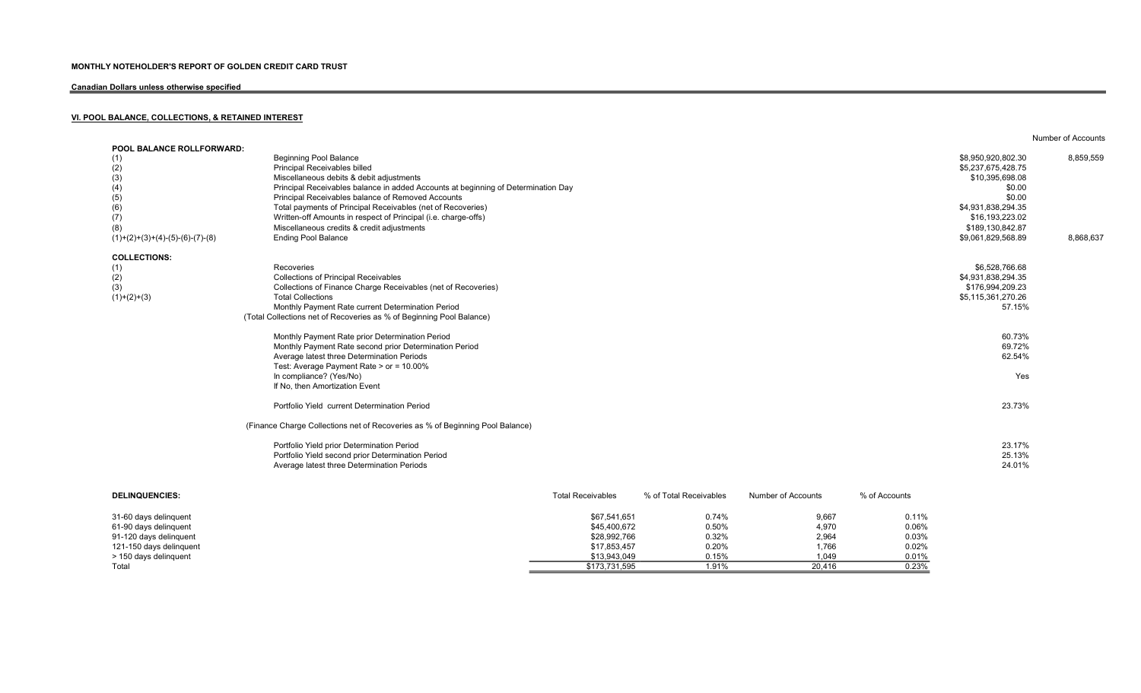# Canadian Dollars unless otherwise specified

# VI. POOL BALANCE, COLLECTIONS, & RETAINED INTEREST

| <b>POOL BALANCE ROLLFORWARD:</b>  |                                                                                   |                          |                        |                    |               |                    |           |
|-----------------------------------|-----------------------------------------------------------------------------------|--------------------------|------------------------|--------------------|---------------|--------------------|-----------|
| (1)                               | <b>Beginning Pool Balance</b>                                                     |                          |                        |                    |               | \$8,950,920,802.30 | 8,859,559 |
| (2)                               | Principal Receivables billed                                                      |                          |                        |                    |               | \$5,237,675,428.75 |           |
| (3)                               | Miscellaneous debits & debit adjustments                                          |                          |                        |                    |               | \$10,395,698.08    |           |
| (4)                               | Principal Receivables balance in added Accounts at beginning of Determination Day |                          |                        |                    |               | \$0.00             |           |
| (5)                               | Principal Receivables balance of Removed Accounts                                 |                          |                        |                    |               | \$0.00             |           |
| (6)                               | Total payments of Principal Receivables (net of Recoveries)                       |                          |                        |                    |               | \$4,931,838,294.35 |           |
| (7)                               | Written-off Amounts in respect of Principal (i.e. charge-offs)                    |                          |                        |                    |               | \$16,193,223.02    |           |
| (8)                               | Miscellaneous credits & credit adjustments                                        |                          |                        |                    |               | \$189,130,842.87   |           |
| $(1)+(2)+(3)+(4)-(5)-(6)-(7)-(8)$ | <b>Ending Pool Balance</b>                                                        |                          |                        |                    |               | \$9,061,829,568.89 | 8,868,637 |
| <b>COLLECTIONS:</b>               |                                                                                   |                          |                        |                    |               |                    |           |
| (1)                               | Recoveries                                                                        |                          |                        |                    |               | \$6,528,766.68     |           |
| (2)                               | <b>Collections of Principal Receivables</b>                                       |                          |                        |                    |               | \$4,931,838,294.35 |           |
| (3)                               | Collections of Finance Charge Receivables (net of Recoveries)                     |                          |                        |                    |               | \$176,994,209.23   |           |
| $(1)+(2)+(3)$                     | <b>Total Collections</b>                                                          |                          |                        |                    |               | \$5,115,361,270.26 |           |
|                                   | Monthly Payment Rate current Determination Period                                 |                          |                        |                    |               | 57.15%             |           |
|                                   | (Total Collections net of Recoveries as % of Beginning Pool Balance)              |                          |                        |                    |               |                    |           |
|                                   | Monthly Payment Rate prior Determination Period                                   |                          |                        |                    |               | 60.73%             |           |
|                                   | Monthly Payment Rate second prior Determination Period                            |                          |                        |                    |               | 69.72%             |           |
|                                   | Average latest three Determination Periods                                        |                          |                        |                    |               | 62.54%             |           |
|                                   | Test: Average Payment Rate > or = 10.00%                                          |                          |                        |                    |               |                    |           |
|                                   |                                                                                   |                          |                        |                    |               | Yes                |           |
|                                   | In compliance? (Yes/No)                                                           |                          |                        |                    |               |                    |           |
|                                   | If No, then Amortization Event                                                    |                          |                        |                    |               |                    |           |
|                                   | Portfolio Yield current Determination Period                                      |                          |                        |                    |               | 23.73%             |           |
|                                   | (Finance Charge Collections net of Recoveries as % of Beginning Pool Balance)     |                          |                        |                    |               |                    |           |
|                                   | Portfolio Yield prior Determination Period                                        |                          |                        |                    |               | 23.17%             |           |
|                                   | Portfolio Yield second prior Determination Period                                 |                          |                        |                    |               | 25.13%             |           |
|                                   | Average latest three Determination Periods                                        |                          |                        |                    |               | 24.01%             |           |
|                                   |                                                                                   |                          |                        |                    |               |                    |           |
| <b>DELINQUENCIES:</b>             |                                                                                   | <b>Total Receivables</b> | % of Total Receivables | Number of Accounts | % of Accounts |                    |           |

Number of Accounts

| 31-60 days delinguent   | \$67,541,651  | 0.74% | 9,667  | 0.11%    |
|-------------------------|---------------|-------|--------|----------|
| 61-90 days delinguent   | \$45,400,672  | 0.50% | 4,970  | 0.06%    |
| 91-120 days delinguent  | \$28,992,766  | 0.32% | 2,964  | $0.03\%$ |
| 121-150 days delinguent | \$17,853,457  | 0.20% | 1,766  | 0.02%    |
| > 150 days delinguent   | \$13,943,049  | 0.15% | 1.049  | 0.01%    |
| Total                   | \$173.731.595 | .91%  | 20,416 | 0.23%    |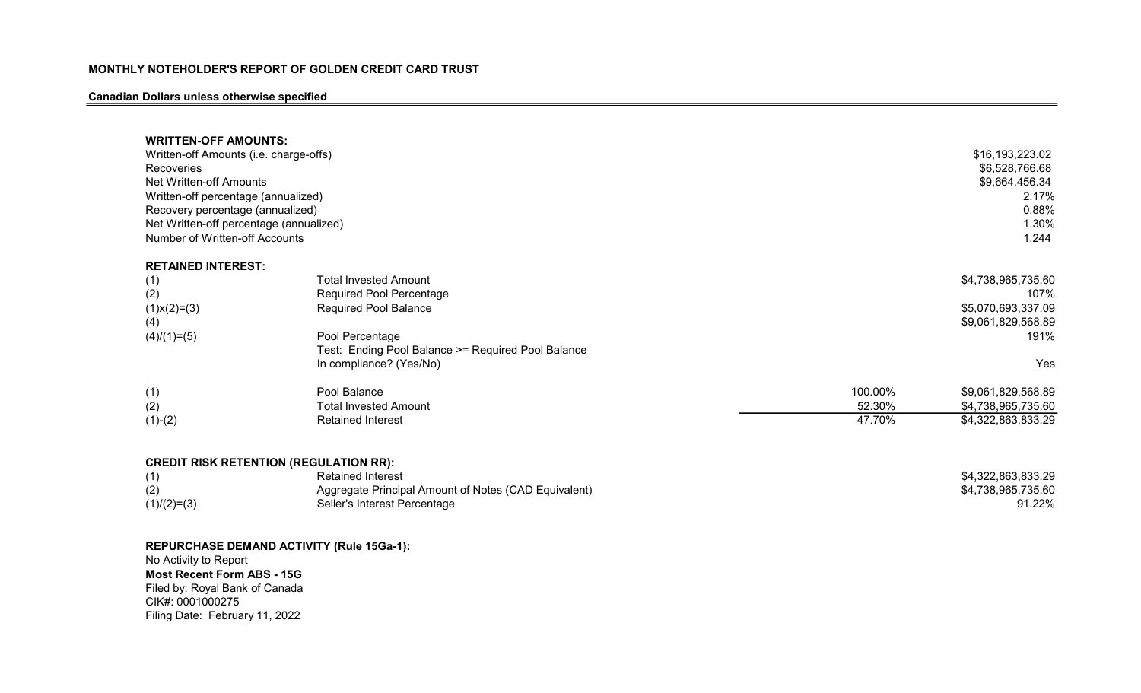# Canadian Dollars unless otherwise specified

| <b>WRITTEN-OFF AMOUNTS:</b><br>Written-off Amounts (i.e. charge-offs)<br>Recoveries<br>Net Written-off Amounts<br>Written-off percentage (annualized)<br>Recovery percentage (annualized)<br>Net Written-off percentage (annualized)<br>Number of Written-off Accounts |                                                                                                                                                                                                     |         | \$16,193,223.02<br>\$6,528,766.68<br>\$9,664,456.34<br>2.17%<br>0.88%<br>1.30%<br>1,244 |
|------------------------------------------------------------------------------------------------------------------------------------------------------------------------------------------------------------------------------------------------------------------------|-----------------------------------------------------------------------------------------------------------------------------------------------------------------------------------------------------|---------|-----------------------------------------------------------------------------------------|
| <b>RETAINED INTEREST:</b>                                                                                                                                                                                                                                              |                                                                                                                                                                                                     |         |                                                                                         |
| (1)<br>(2)<br>$(1)$ x $(2)$ = $(3)$<br>(4)<br>$(4)/(1)=(5)$                                                                                                                                                                                                            | <b>Total Invested Amount</b><br><b>Required Pool Percentage</b><br><b>Required Pool Balance</b><br>Pool Percentage<br>Test: Ending Pool Balance >= Required Pool Balance<br>In compliance? (Yes/No) |         | \$4,738,965,735.60<br>107%<br>\$5,070,693,337.09<br>\$9,061,829,568.89<br>191%<br>Yes   |
|                                                                                                                                                                                                                                                                        |                                                                                                                                                                                                     |         |                                                                                         |
| (1)                                                                                                                                                                                                                                                                    | Pool Balance                                                                                                                                                                                        | 100.00% | \$9,061,829,568.89                                                                      |
| (2)                                                                                                                                                                                                                                                                    | <b>Total Invested Amount</b>                                                                                                                                                                        | 52.30%  | \$4,738,965,735.60                                                                      |
| $(1)-(2)$                                                                                                                                                                                                                                                              | <b>Retained Interest</b>                                                                                                                                                                            | 47.70%  | \$4,322,863,833.29                                                                      |
| <b>CREDIT RISK RETENTION (REGULATION RR):</b>                                                                                                                                                                                                                          |                                                                                                                                                                                                     |         |                                                                                         |
| (1)                                                                                                                                                                                                                                                                    | <b>Retained Interest</b>                                                                                                                                                                            |         | \$4,322,863,833.29                                                                      |
| (2)                                                                                                                                                                                                                                                                    | Aggregate Principal Amount of Notes (CAD Equivalent)                                                                                                                                                |         | \$4,738,965,735.60                                                                      |
| $(1)/(2)=(3)$                                                                                                                                                                                                                                                          | Seller's Interest Percentage                                                                                                                                                                        |         | 91.22%                                                                                  |
|                                                                                                                                                                                                                                                                        |                                                                                                                                                                                                     |         |                                                                                         |

REPURCHASE DEMAND ACTIVITY (Rule 15Ga-1): No Activity to Report Most Recent Form ABS - 15G Filed by: Royal Bank of Canada

CIK#: 0001000275 Filing Date: February 11, 2022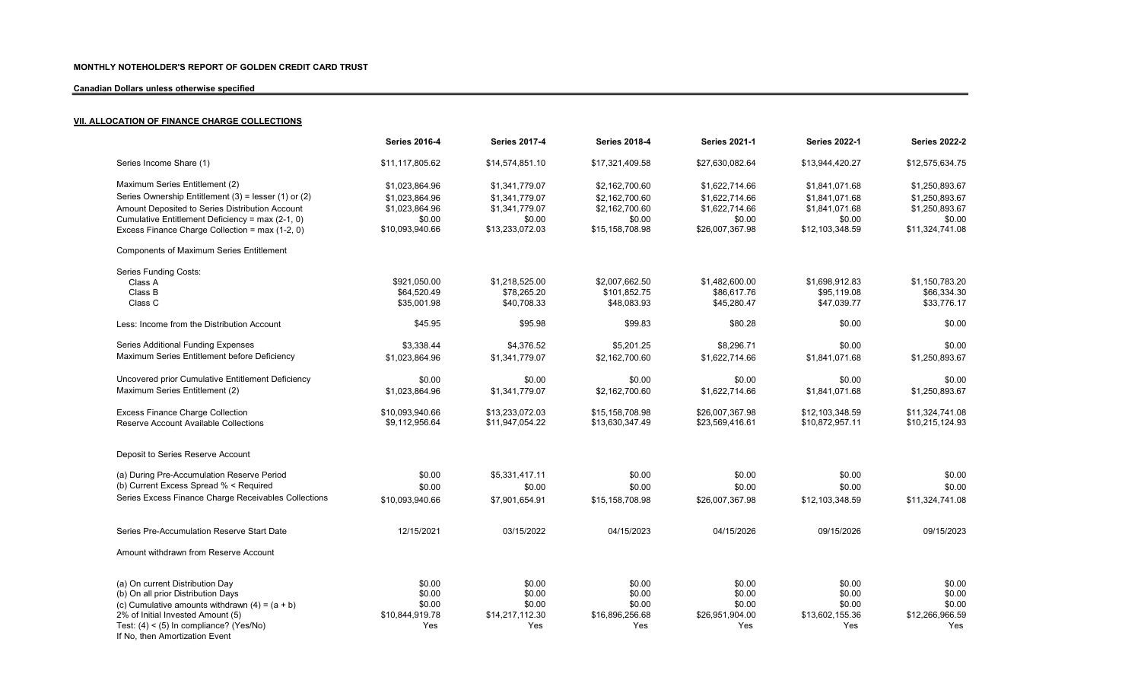# Canadian Dollars unless otherwise specified

# **VII. ALLOCATION OF FINANCE CHARGE COLLECTIONS**

|                                                                             | <b>Series 2016-4</b> | <b>Series 2017-4</b> | <b>Series 2018-4</b> | <b>Series 2021-1</b> | <b>Series 2022-1</b> | <b>Series 2022-2</b> |
|-----------------------------------------------------------------------------|----------------------|----------------------|----------------------|----------------------|----------------------|----------------------|
| Series Income Share (1)                                                     | \$11,117,805.62      | \$14,574,851.10      | \$17,321,409.58      | \$27,630,082.64      | \$13,944,420.27      | \$12,575,634.75      |
| Maximum Series Entitlement (2)                                              | \$1,023,864.96       | \$1,341,779.07       | \$2,162,700.60       | \$1,622,714.66       | \$1,841,071.68       | \$1,250,893.67       |
| Series Ownership Entitlement (3) = lesser (1) or (2)                        | \$1,023,864.96       | \$1,341,779.07       | \$2,162,700.60       | \$1,622,714.66       | \$1,841,071.68       | \$1,250,893.67       |
| Amount Deposited to Series Distribution Account                             | \$1,023,864.96       | \$1,341,779.07       | \$2,162,700.60       | \$1,622,714.66       | \$1,841,071.68       | \$1,250,893.67       |
| Cumulative Entitlement Deficiency = max (2-1, 0)                            | \$0.00               | \$0.00               | \$0.00               | \$0.00               | \$0.00               | \$0.00               |
| Excess Finance Charge Collection = max (1-2, 0)                             | \$10,093,940.66      | \$13,233,072.03      | \$15,158,708.98      | \$26,007,367.98      | \$12,103,348.59      | \$11,324,741.08      |
| <b>Components of Maximum Series Entitlement</b>                             |                      |                      |                      |                      |                      |                      |
| Series Funding Costs:                                                       |                      |                      |                      |                      |                      |                      |
| Class A                                                                     | \$921,050.00         | \$1,218,525.00       | \$2,007,662.50       | \$1,482,600.00       | \$1,698,912.83       | \$1,150,783.20       |
| Class B                                                                     | \$64,520.49          | \$78,265.20          | \$101,852.75         | \$86,617.76          | \$95,119.08          | \$66,334.30          |
| Class C                                                                     | \$35,001.98          | \$40,708.33          | \$48,083.93          | \$45,280.47          | \$47,039.77          | \$33.776.17          |
| Less: Income from the Distribution Account                                  | \$45.95              | \$95.98              | \$99.83              | \$80.28              | \$0.00               | \$0.00               |
| Series Additional Funding Expenses                                          | \$3,338.44           | \$4,376.52           | \$5,201.25           | \$8,296.71           | \$0.00               | \$0.00               |
| Maximum Series Entitlement before Deficiency                                | \$1,023,864.96       | \$1,341,779.07       | \$2,162,700.60       | \$1,622,714.66       | \$1.841.071.68       | \$1,250,893.67       |
| Uncovered prior Cumulative Entitlement Deficiency                           | \$0.00               | \$0.00               | \$0.00               | \$0.00               | \$0.00               | \$0.00               |
| Maximum Series Entitlement (2)                                              | \$1,023,864.96       | \$1,341,779.07       | \$2,162,700.60       | \$1,622,714.66       | \$1,841,071.68       | \$1,250,893.67       |
| <b>Excess Finance Charge Collection</b>                                     | \$10,093,940.66      | \$13,233,072.03      | \$15,158,708.98      | \$26,007,367.98      | \$12,103,348.59      | \$11,324,741.08      |
| Reserve Account Available Collections                                       | \$9,112,956.64       | \$11,947,054.22      | \$13,630,347.49      | \$23,569,416.61      | \$10,872,957.11      | \$10,215,124.93      |
| Deposit to Series Reserve Account                                           |                      |                      |                      |                      |                      |                      |
| (a) During Pre-Accumulation Reserve Period                                  | \$0.00               | \$5,331,417.11       | \$0.00               | \$0.00               | \$0.00               | \$0.00               |
| (b) Current Excess Spread % < Required                                      |                      |                      |                      |                      |                      |                      |
|                                                                             | \$0.00               | \$0.00               | \$0.00               | \$0.00               | \$0.00               | \$0.00               |
| Series Excess Finance Charge Receivables Collections                        | \$10,093,940.66      | \$7,901,654.91       | \$15,158,708.98      | \$26,007,367.98      | \$12,103,348.59      | \$11,324,741.08      |
| Series Pre-Accumulation Reserve Start Date                                  | 12/15/2021           | 03/15/2022           | 04/15/2023           | 04/15/2026           | 09/15/2026           | 09/15/2023           |
| Amount withdrawn from Reserve Account                                       |                      |                      |                      |                      |                      |                      |
|                                                                             |                      |                      |                      |                      |                      |                      |
| (a) On current Distribution Day                                             | \$0.00               | \$0.00               | \$0.00               | \$0.00               | \$0.00               | \$0.00               |
| (b) On all prior Distribution Days                                          | \$0.00               | \$0.00               | \$0.00               | \$0.00               | \$0.00               | \$0.00               |
| (c) Cumulative amounts withdrawn $(4) = (a + b)$                            | \$0.00               | \$0.00               | \$0.00               | \$0.00               | \$0.00               | \$0.00               |
| 2% of Initial Invested Amount (5)                                           | \$10,844,919.78      | \$14,217,112.30      | \$16,896,256.68      | \$26,951,904.00      | \$13,602,155.36      | \$12,266,966.59      |
| Test: $(4) < (5)$ In compliance? (Yes/No)<br>If No, then Amortization Event | Yes                  | Yes                  | Yes                  | Yes                  | Yes                  | Yes                  |